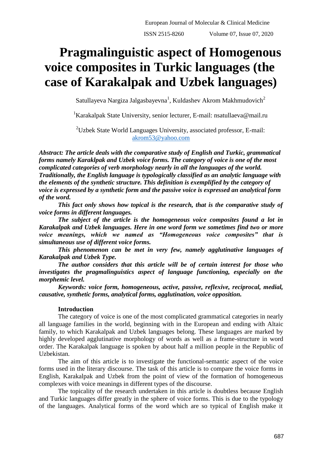# **Pragmalinguistic aspect of Homogenous voice composites in Turkic languages (the case of Karakalpak and Uzbek languages)**

Satullayeva Nargiza Jalgasbayevna $^1$ , Kuldashev Akrom Makhmudovich $^2$ 

<sup>1</sup>Karakalpak State University, senior lecturer, E-mail: [nsatullaeva@mail.ru](mailto:nsatullaeva@mail.ru)

 $2$ Uzbek State World Languages University, associated professor, E-mail: [akrom53@yahoo.com](mailto:akrom53@yahoo.com)

*Abstract: The article deals with the comparative study of English and Turkic, grammatical forms namely Karaklpak and Uzbek voice forms. The category of voice is one of the most complicated categories of verb morphology nearly in all the languages of the world. Traditionally, the English language is typologically classified as an analytic language with the elements of the synthetic structure. This definition is exemplified by the category of voice is expressed by a synthetic form and the passive voice is expressed an analytical form of the word.*

*This fact only shows how topical is the research, that is the comparative study of voice forms in different languages.*

*The subject of the article is the homogeneous voice composites found a lot in Karakalpak and Uzbek languages. Here in one word form we sometimes find two or more voice meanings, which we named as "Homogeneous voice composites" that is simultaneous use of different voice forms.*

*This phenomenon can be met in very few, namely agglutinative languages of Karakalpak and Uzbek Type.*

*The author considers that this article will be of certain interest for those who investigates the pragmalinguistics aspect of language functioning, especially on the morphemic level.*

*Keywords: voice form, homogeneous, active, passive, reflexive, reciprocal, medial, causative, synthetic forms, analytical forms, agglutination, voice opposition.*

## **Introduction**

The category of voice is one of the most complicated grammatical categories in nearly all language families in the world, beginning with in the European and ending with Altaic family, to which Karakalpak and Uzbek languages belong. These languages are marked by highly developed agglutinative morphology of words as well as a frame-structure in word order. The Karakalpak language is spoken by about half a million people in the Republic of Uzbekistan.

The aim of this article is to investigate the functional-semantic aspect of the voice forms used in the literary discourse. The task of this article is to compare the voice forms in English, Karakalpak and Uzbek from the point of view of the formation of homogeneous complexes with voice meanings in different types of the discourse.

The topicality of the research undertaken in this article is doubtless because English and Turkic languages differ greatly in the sphere of voice forms. This is due to the typology of the languages. Analytical forms of the word which are so typical of English make it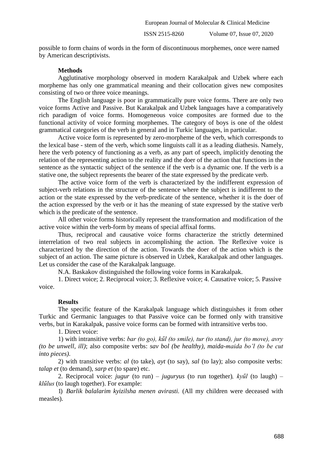ISSN 2515-8260 Volume 07, Issue 07, 2020

possible to form chains of words in the form of discontinuous morphemes, once were named by American descriptivists.

## **Methods**

Agglutinative morphology observed in modern Karakalpak and Uzbek where each morpheme has only one grammatical meaning and their collocation gives new composites consisting of two or three voice meanings.

The English language is poor in grammatically pure voice forms. There are only two voice forms Active and Passive. But Karakalpak and Uzbek languages have a comparatively rich paradigm of voice forms. Homogeneous voice composites are formed due to the functional activity of voice forming morphemes. The category of boys is one of the oldest grammatical categories of the verb in general and in Turkic languages, in particular.

Active voice form is represented by zero-morpheme of the verb, which corresponds to the lexical base - stem of the verb, which some linguists call it as a leading diathesis. Namely, here the verb potency of functioning as a verb, as any part of speech, implicitly denoting the relation of the representing action to the reality and the doer of the action that functions in the sentence as the syntactic subject of the sentence if the verb is a dynamic one. If the verb is a stative one, the subject represents the bearer of the state expressed by the predicate verb.

The active voice form of the verb is characterized by the indifferent expression of subject-verb relations in the structure of the sentence where the subject is indifferent to the action or the state expressed by the verb-predicate of the sentence, whether it is the doer of the action expressed by the verb or it has the meaning of state expressed by the stative verb which is the predicate of the sentence.

All other voice forms historically represent the transformation and modification of the active voice within the verb-form by means of special affixal forms.

Thus, reciprocal and causative voice forms characterize the strictly determined interrelation of two real subjects in accomplishing the action. The Reflexive voice is characterized by the direction of the action. Towards the doer of the action which is the subject of an action. The same picture is observed in Uzbek, Karakalpak and other languages. Let us consider the case of the Karakalpak language.

N.A. Baskakov distinguished the following voice forms in Karakalpak.

1. Direct voice; 2. Reciprocal voice; 3. Reflexive voice; 4. Causative voice; 5. Passive voice.

#### **Results**

The specific feature of the Karakalpak language which distinguishes it from other Turkic and Germanic languages to that Passive voice can be formed only with transitive verbs, but in Karakalpak, passive voice forms can be formed with intransitive verbs too.

1. Direct voice:

1) with intransitive verbs: *bar (to go), kűl (to smile), tur (to stand), jur (to move), avry (to be unwell, ill)*; also composite verbs: *sav bol (be healthy), maida-maida bo'l (to be cut into pieces)*.

2) with transitive verbs: *al* (to take)*, ayt* (to say)*, sal* (to lay); also composite verbs: *talap et* (to demand)*, sarp et* (to spare) etc.

2. Reciprocal voice: *jugur* (to run) *– juguryus* (to run together)*, kyűl* (to laugh) *– klűlus* (to laugh together). For example:

1) *Barlik balalarim kyizilsha menen avirasti.* (All my children were deceased with measles).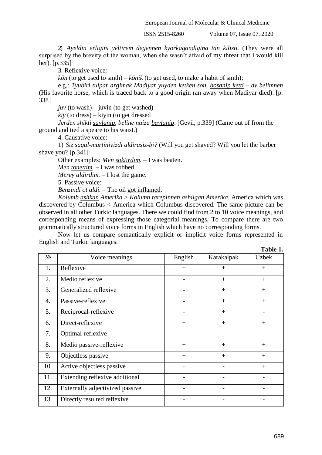European Journal of Molecular & Clinical Medicine

ISSN 2515-8260 Volume 07, Issue 07, 2020

2) *Ayeldin erligini yeltirem degennen kyorkagandigina tan kilisti.* (They were all surprised by the brevity of the woman, when she wasn't afraid of my threat that I would kill her). [p.335]

3. Reflexive voice:

*kön* (to get used to smth) – *könik* (to get used, to make a habit of smth);

e.g.: *Tyubiri tulpar argimak Madiyar yuyden ketken son, bosanip ketti – av belimnen*  (His favorite horse, which is traced back to a good origin ran away when Madiyar died). [p. 338]

 $juv$  (to wash) – juvin (to get washed)

*kiy* (to dress) – kiyin (to get dressed

*Jerden shikti saylanip, beline naiza baylanip*. [Gevil, p.339] (Came out of from the ground and tied a speare to his waist.)

4. Causative voice:

1) *Siz saqal-murtiniyizdi aldirasiz-bi?* (Will you get shaved? Will you let the barber shave you? [p.341]

Other examples: *Men soktirdim.* – I was beaten.

*Men tonettim.* – I was robbed.

*Merey aldirdim.* – I lost the game.

5. Passive voice:

*Benzindi ot aldi.* – The oil got inflamed.

*Kolumb ashkan Amerika* > *Kolumb tarepinnen ashilgan Amerika.* America which was discovered by Columbus < America which Columbus discovered. The same picture can be observed in all other Turkic languages. There we could find from 2 to 10 voice meanings, and corresponding means of expressing those categorial meanings. To compare there are two grammatically structured voice forms in English which have no corresponding forms.

Now let us compare semantically explicit or implicit voice forms represented in English and Turkic languages.

|       |                                 |         |            | Table 1.     |
|-------|---------------------------------|---------|------------|--------------|
| $N_2$ | Voice meanings                  | English | Karakalpak | <b>Uzbek</b> |
| 1.    | Reflexive                       | $+$     | $+$        | $+$          |
| 2.    | Medio reflexive                 |         | $+$        | $+$          |
| 3.    | Generalized reflexive           |         | $+$        | $+$          |
| 4.    | Passive-reflexive               |         | $+$        | $+$          |
| 5.    | Reciprocal-reflexive            |         | $+$        |              |
| 6.    | Direct-reflexive                | $+$     | $+$        | $+$          |
| 7.    | Optimal-reflexive               |         |            |              |
| 8.    | Medio passive-reflexive         | $+$     | $+$        | $+$          |
| 9.    | Objectless passive              | $+$     | $+$        | $^{+}$       |
| 10.   | Active objectless passive       | $+$     |            | $+$          |
| 11.   | Extending reflexive additional  |         |            |              |
| 12.   | Externally adjectivized passive |         |            |              |
| 13.   | Directly resulted reflexive     |         |            |              |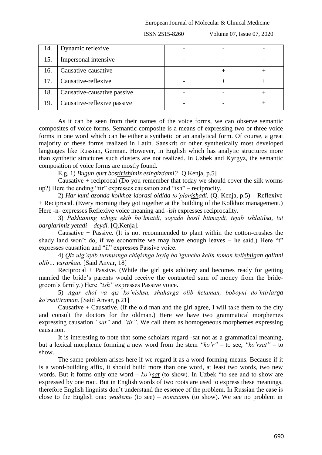ISSN 2515-8260 Volume 07, Issue 07, 2020

| 14. | Dynamic reflexive           |  |  |
|-----|-----------------------------|--|--|
| 15. | Impersonal intensive        |  |  |
| 16. | Causative-causative         |  |  |
| 17. | Causative-reflexive         |  |  |
| 18. | Causative-causative passive |  |  |
| 19. | Causative-reflexive passive |  |  |

As it can be seen from their names of the voice forms, we can observe semantic composites of voice forms. Semantic composite is a means of expressing two or three voice forms in one word which can be either a synthetic or an analytical form. Of course, a great majority of these forms realized in Latin. Sanskrit or other synthetically most developed languages like Russian, German. However, in English which has analytic structures more than synthetic structures such clusters are not realized. In Uzbek and Kyrgyz, the semantic composition of voice forms are mostly found.

E.g. 1) *Bugun qurt bostirishimiz esingizdami?* [Q.Kenja, p.5]

Causative + reciprocal (Do you remember that today we should cover the silk worms up?) Here the ending "tir" expresses causation and "ish" – reciprocity.

2) *Har kuni azonda kolkhoz idorasi oldida to'planishadi.* (Q. Kenja, p.5) – Reflexive + Reciprocal. (Every morning they got together at the building of the Kolkhoz management.) Here -n- expresses Reflexive voice meaning and -*ish* expresses reciprocality.

3) *Pakhtaning ichiga ekib bo'lmaidi, soyado hosil bitmaydi, tejab ishlatilsa, tut barglarimiz yetadi – deydi.* [Q.Kenja].

Causative  $+$  Passive. (It is not recommended to plant within the cotton-crushes the shady land won't do, if we economize we may have enough leaves – he said.) Here "t" expresses causation and "il" expresses Passive voice.

4) *Qiz ulg'ayib turmushga chiqishga loyiq bo'lguncha kelin tomon kelishilgan qalinni olib… yurarkan.* [Said Anvar, 18]

Reciprocal + Passive. (While the girl gets adultery and becomes ready for getting married the bride's parents would receive the contracted sum of money from the bridegroom's family.) Here *"ish"* expresses Passive voice.

5) *Agar chol va qiz ko'nishsa, shaharga olib ketaman, boboyni do'htirlarga ko'rsattiraman.* [Said Anvar, p.21]

Causative  $+$  Causative. (If the old man and the girl agree, I will take them to the city and consult the doctors for the oldman.) Here we have two grammatical morphemes expressing causation *"sat"* and *"tir"*. We call them as homogeneous morphemes expressing causation.

It is interesting to note that some scholars regard -sat not as a grammatical meaning, but a lexical morpheme forming a new word from the stem *"ko'r"* – to see, *"ko'rsat"* – to show.

The same problem arises here if we regard it as a word-forming means. Because if it is a word-building affix, it should build more than one word, at least two words, two new words. But it forms only one word – *ko'rsat* (to show). In Uzbek "to see and to show are expressed by one root. But in English words of two roots are used to express these meanings, therefore English linguists don't understand the essence of the problem. In Russian the case is close to the English one: *увидеть* (to see) – *показать* (to show). We see no problem in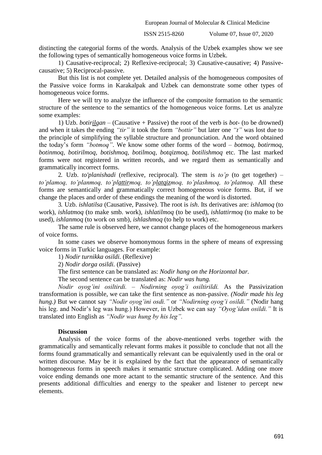European Journal of Molecular & Clinical Medicine

ISSN 2515-8260 Volume 07, Issue 07, 2020

distincting the categorial forms of the words. Analysis of the Uzbek examples show we see the following types of semantically homogeneous voice forms in Uzbek.

1) Causative-reciprocal; 2) Reflexive-reciprocal; 3) Causative-causative; 4) Passivecausative; 5) Reciprocal-passive.

But this list is not complete yet. Detailed analysis of the homogeneous composites of the Passive voice forms in Karakalpak and Uzbek can demonstrate some other types of homogeneous voice forms.

Here we will try to analyze the influence of the composite formation to the semantic structure of the sentence to the semantics of the homogeneous voice forms. Let us analyze some examples:

1) Uzb. *botirilgan* – (Causative + Passive) the root of the verb is *bot-* (to be drowned) and when it takes the ending *"tir"* it took the form *"bottir"* but later one *"t"* was lost due to the principle of simplifying the syllable structure and pronunciation. And the word obtained the today's form *"botmoq"*. We know some other forms of the word – *botmoq, botirmoq, botinmoq, botirilmoq, botishmoq, botilmoq, botqizmoq, botilishmoq* etc. The last marked forms were not registered in written records, and we regard them as semantically and grammatically incorrect forms.

2. Uzb. *to'planishadi* (reflexive, reciprocal). The stem is *to'p* (to get together) – *to'plamoq, to'planmoq, to'plattirmoq, to'platqizmoq, to'plashmoq, to'platmoq.* All these forms are semantically and grammatically correct homogeneous voice forms. But, if we change the places and order of these endings the meaning of the word is distorted.

3. Uzb. *ishlatilsa* (Causative, Passive). The root is *ish*. Its derivatives are: *ishlamoq* (to work), *ishlatmoq* (to make smb. work), *ishlatilmoq* (to be used), *ishlattirmoq* (to make to be used), *ishlanmoq* (to work on smb), *ishlashmoq* (to help to work) etc.

The same rule is observed here, we cannot change places of the homogeneous markers of voice forms.

In some cases we observe homonymous forms in the sphere of means of expressing voice forms in Turkic languages. For example:

1) *Nodir turnikka osildi.* (Reflexive)

2) *Nodir dorga osildi.* (Passive)

The first sentence can be translated as: *Nodir hang on the Horizontal bar.*

The second sentence can be translated as: *Nodir was hung.*

*Nodir oyog'ini osiltirdi. – Nodirning oyog'i osiltirildi.* As the Passivization transformation is possible, we can take the first sentence as non-passive. *(Nodir made his leg hung.)* But we cannot say *"Nodir oyog'ini osdi."* or *"Nodirning oyog'i osildi."* (Nodir hang his leg. and Nodir's leg was hung.) However, in Uzbek we can say *"Oyog'idan osildi."* It is translated into English as *"Nodir was hung by his leg".*

### **Discussion**

Analysis of the voice forms of the above-mentioned verbs together with the grammatically and semantically relevant forms makes it possible to conclude that not all the forms found grammatically and semantically relevant can be equivalently used in the oral or written discourse. May be it is explained by the fact that the appearance of semantically homogeneous forms in speech makes it semantic structure complicated. Adding one more voice ending demands one more actant to the semantic structure of the sentence. And this presents additional difficulties and energy to the speaker and listener to percept new elements.